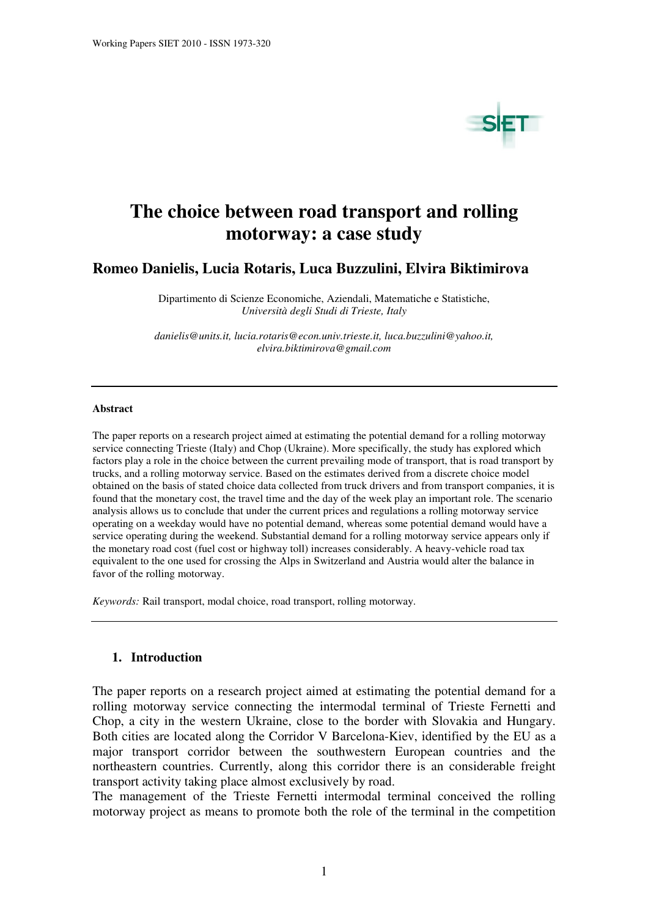

# **The choice between road transport and rolling motorway: a case study**

## **Romeo Danielis, Lucia Rotaris, Luca Buzzulini, Elvira Biktimirova**

Dipartimento di Scienze Economiche, Aziendali, Matematiche e Statistiche, *Università degli Studi di Trieste, Italy* 

*danielis@units.it, lucia.rotaris@econ.univ.trieste.it, luca.buzzulini@yahoo.it, elvira.biktimirova@gmail.com* 

#### **Abstract**

The paper reports on a research project aimed at estimating the potential demand for a rolling motorway service connecting Trieste (Italy) and Chop (Ukraine). More specifically, the study has explored which factors play a role in the choice between the current prevailing mode of transport, that is road transport by trucks, and a rolling motorway service. Based on the estimates derived from a discrete choice model obtained on the basis of stated choice data collected from truck drivers and from transport companies, it is found that the monetary cost, the travel time and the day of the week play an important role. The scenario analysis allows us to conclude that under the current prices and regulations a rolling motorway service operating on a weekday would have no potential demand, whereas some potential demand would have a service operating during the weekend. Substantial demand for a rolling motorway service appears only if the monetary road cost (fuel cost or highway toll) increases considerably. A heavy-vehicle road tax equivalent to the one used for crossing the Alps in Switzerland and Austria would alter the balance in favor of the rolling motorway.

*Keywords:* Rail transport, modal choice, road transport, rolling motorway.

#### **1. Introduction**

The paper reports on a research project aimed at estimating the potential demand for a rolling motorway service connecting the intermodal terminal of Trieste Fernetti and Chop, a city in the western Ukraine, close to the border with Slovakia and Hungary. Both cities are located along the Corridor V Barcelona-Kiev, identified by the EU as a major transport corridor between the southwestern European countries and the northeastern countries. Currently, along this corridor there is an considerable freight transport activity taking place almost exclusively by road.

The management of the Trieste Fernetti intermodal terminal conceived the rolling motorway project as means to promote both the role of the terminal in the competition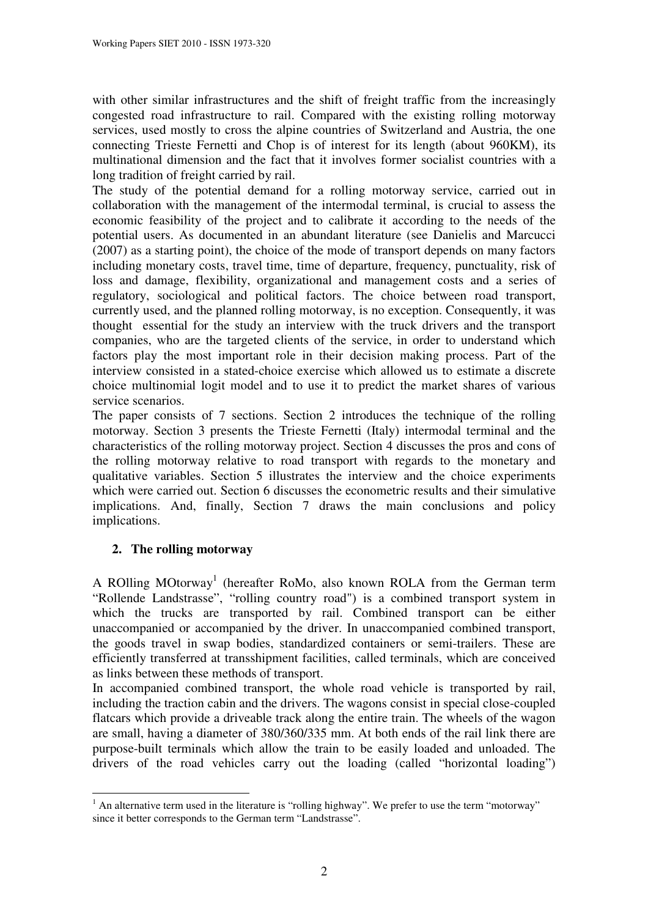with other similar infrastructures and the shift of freight traffic from the increasingly congested road infrastructure to rail. Compared with the existing rolling motorway services, used mostly to cross the alpine countries of Switzerland and Austria, the one connecting Trieste Fernetti and Chop is of interest for its length (about 960KM), its multinational dimension and the fact that it involves former socialist countries with a long tradition of freight carried by rail.

The study of the potential demand for a rolling motorway service, carried out in collaboration with the management of the intermodal terminal, is crucial to assess the economic feasibility of the project and to calibrate it according to the needs of the potential users. As documented in an abundant literature (see Danielis and Marcucci (2007) as a starting point), the choice of the mode of transport depends on many factors including monetary costs, travel time, time of departure, frequency, punctuality, risk of loss and damage, flexibility, organizational and management costs and a series of regulatory, sociological and political factors. The choice between road transport, currently used, and the planned rolling motorway, is no exception. Consequently, it was thought essential for the study an interview with the truck drivers and the transport companies, who are the targeted clients of the service, in order to understand which factors play the most important role in their decision making process. Part of the interview consisted in a stated-choice exercise which allowed us to estimate a discrete choice multinomial logit model and to use it to predict the market shares of various service scenarios.

The paper consists of 7 sections. Section 2 introduces the technique of the rolling motorway. Section 3 presents the Trieste Fernetti (Italy) intermodal terminal and the characteristics of the rolling motorway project. Section 4 discusses the pros and cons of the rolling motorway relative to road transport with regards to the monetary and qualitative variables. Section 5 illustrates the interview and the choice experiments which were carried out. Section 6 discusses the econometric results and their simulative implications. And, finally, Section 7 draws the main conclusions and policy implications.

# **2. The rolling motorway**

 $\overline{a}$ 

A ROlling MOtorway<sup>1</sup> (hereafter RoMo, also known ROLA from the German term "Rollende Landstrasse", "rolling country road") is a combined transport system in which the trucks are transported by rail. Combined transport can be either unaccompanied or accompanied by the driver. In unaccompanied combined transport, the goods travel in swap bodies, standardized containers or semi-trailers. These are efficiently transferred at transshipment facilities, called terminals, which are conceived as links between these methods of transport.

In accompanied combined transport, the whole road vehicle is transported by rail, including the traction cabin and the drivers. The wagons consist in special close-coupled flatcars which provide a driveable track along the entire train. The wheels of the wagon are small, having a diameter of 380/360/335 mm. At both ends of the rail link there are purpose-built terminals which allow the train to be easily loaded and unloaded. The drivers of the road vehicles carry out the loading (called "horizontal loading")

 $<sup>1</sup>$  An alternative term used in the literature is "rolling highway". We prefer to use the term "motorway"</sup> since it better corresponds to the German term "Landstrasse".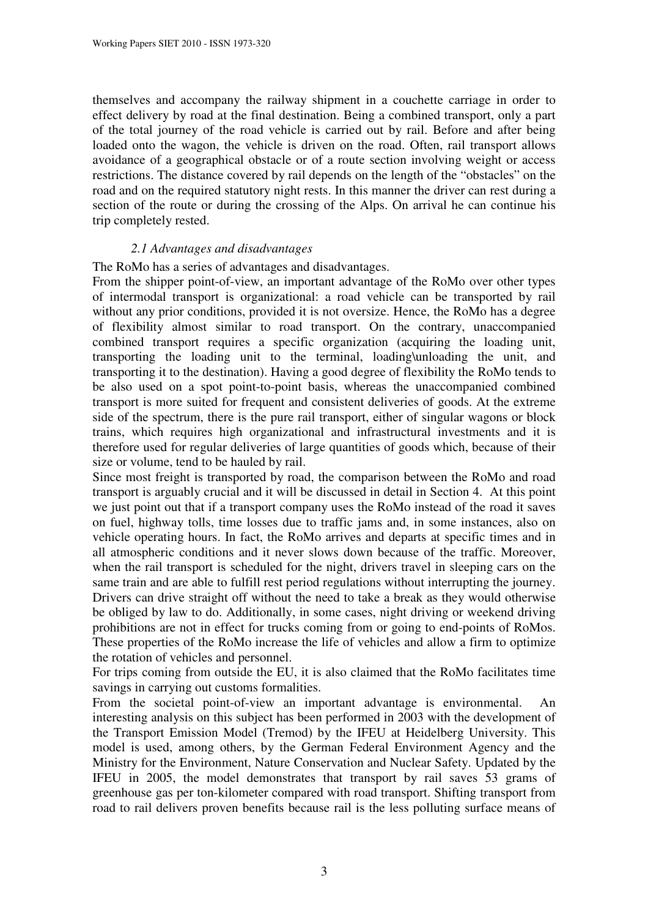themselves and accompany the railway shipment in a couchette carriage in order to effect delivery by road at the final destination. Being a combined transport, only a part of the total journey of the road vehicle is carried out by rail. Before and after being loaded onto the wagon, the vehicle is driven on the road. Often, rail transport allows avoidance of a geographical obstacle or of a route section involving weight or access restrictions. The distance covered by rail depends on the length of the "obstacles" on the road and on the required statutory night rests. In this manner the driver can rest during a section of the route or during the crossing of the Alps. On arrival he can continue his trip completely rested.

## *2.1 Advantages and disadvantages*

The RoMo has a series of advantages and disadvantages.

From the shipper point-of-view, an important advantage of the RoMo over other types of intermodal transport is organizational: a road vehicle can be transported by rail without any prior conditions, provided it is not oversize. Hence, the RoMo has a degree of flexibility almost similar to road transport. On the contrary, unaccompanied combined transport requires a specific organization (acquiring the loading unit, transporting the loading unit to the terminal, loading\unloading the unit, and transporting it to the destination). Having a good degree of flexibility the RoMo tends to be also used on a spot point-to-point basis, whereas the unaccompanied combined transport is more suited for frequent and consistent deliveries of goods. At the extreme side of the spectrum, there is the pure rail transport, either of singular wagons or block trains, which requires high organizational and infrastructural investments and it is therefore used for regular deliveries of large quantities of goods which, because of their size or volume, tend to be hauled by rail.

Since most freight is transported by road, the comparison between the RoMo and road transport is arguably crucial and it will be discussed in detail in Section 4. At this point we just point out that if a transport company uses the RoMo instead of the road it saves on fuel, highway tolls, time losses due to traffic jams and, in some instances, also on vehicle operating hours. In fact, the RoMo arrives and departs at specific times and in all atmospheric conditions and it never slows down because of the traffic. Moreover, when the rail transport is scheduled for the night, drivers travel in sleeping cars on the same train and are able to fulfill rest period regulations without interrupting the journey. Drivers can drive straight off without the need to take a break as they would otherwise be obliged by law to do. Additionally, in some cases, night driving or weekend driving prohibitions are not in effect for trucks coming from or going to end-points of RoMos. These properties of the RoMo increase the life of vehicles and allow a firm to optimize the rotation of vehicles and personnel.

For trips coming from outside the EU, it is also claimed that the RoMo facilitates time savings in carrying out customs formalities.

From the societal point-of-view an important advantage is environmental. An interesting analysis on this subject has been performed in 2003 with the development of the Transport Emission Model (Tremod) by the IFEU at Heidelberg University. This model is used, among others, by the German Federal Environment Agency and the Ministry for the Environment, Nature Conservation and Nuclear Safety. Updated by the IFEU in 2005, the model demonstrates that transport by rail saves 53 grams of greenhouse gas per ton-kilometer compared with road transport. Shifting transport from road to rail delivers proven benefits because rail is the less polluting surface means of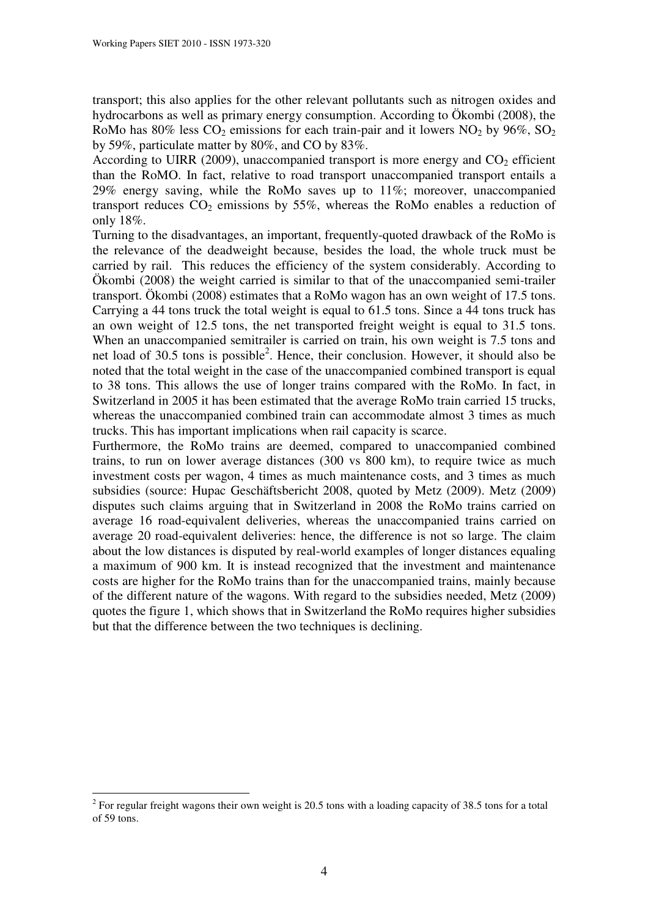transport; this also applies for the other relevant pollutants such as nitrogen oxides and hydrocarbons as well as primary energy consumption. According to Ökombi (2008), the RoMo has  $80\%$  less  $CO_2$  emissions for each train-pair and it lowers  $NO_2$  by  $96\%$ ,  $SO_2$ by 59%, particulate matter by 80%, and CO by 83%.

According to UIRR (2009), unaccompanied transport is more energy and  $CO<sub>2</sub>$  efficient than the RoMO. In fact, relative to road transport unaccompanied transport entails a 29% energy saving, while the RoMo saves up to 11%; moreover, unaccompanied transport reduces  $CO<sub>2</sub>$  emissions by 55%, whereas the RoMo enables a reduction of only 18%.

Turning to the disadvantages, an important, frequently-quoted drawback of the RoMo is the relevance of the deadweight because, besides the load, the whole truck must be carried by rail. This reduces the efficiency of the system considerably. According to Ökombi (2008) the weight carried is similar to that of the unaccompanied semi-trailer transport. Ökombi (2008) estimates that a RoMo wagon has an own weight of 17.5 tons. Carrying a 44 tons truck the total weight is equal to 61.5 tons. Since a 44 tons truck has an own weight of 12.5 tons, the net transported freight weight is equal to 31.5 tons. When an unaccompanied semitrailer is carried on train, his own weight is 7.5 tons and net load of 30.5 tons is possible<sup>2</sup>. Hence, their conclusion. However, it should also be noted that the total weight in the case of the unaccompanied combined transport is equal to 38 tons. This allows the use of longer trains compared with the RoMo. In fact, in Switzerland in 2005 it has been estimated that the average RoMo train carried 15 trucks, whereas the unaccompanied combined train can accommodate almost 3 times as much trucks. This has important implications when rail capacity is scarce.

Furthermore, the RoMo trains are deemed, compared to unaccompanied combined trains, to run on lower average distances (300 vs 800 km), to require twice as much investment costs per wagon, 4 times as much maintenance costs, and 3 times as much subsidies (source: Hupac Geschäftsbericht 2008, quoted by Metz (2009). Metz (2009) disputes such claims arguing that in Switzerland in 2008 the RoMo trains carried on average 16 road-equivalent deliveries, whereas the unaccompanied trains carried on average 20 road-equivalent deliveries: hence, the difference is not so large. The claim about the low distances is disputed by real-world examples of longer distances equaling a maximum of 900 km. It is instead recognized that the investment and maintenance costs are higher for the RoMo trains than for the unaccompanied trains, mainly because of the different nature of the wagons. With regard to the subsidies needed, Metz (2009) quotes the figure 1, which shows that in Switzerland the RoMo requires higher subsidies but that the difference between the two techniques is declining.

 $2^{2}$  For regular freight wagons their own weight is 20.5 tons with a loading capacity of 38.5 tons for a total of 59 tons.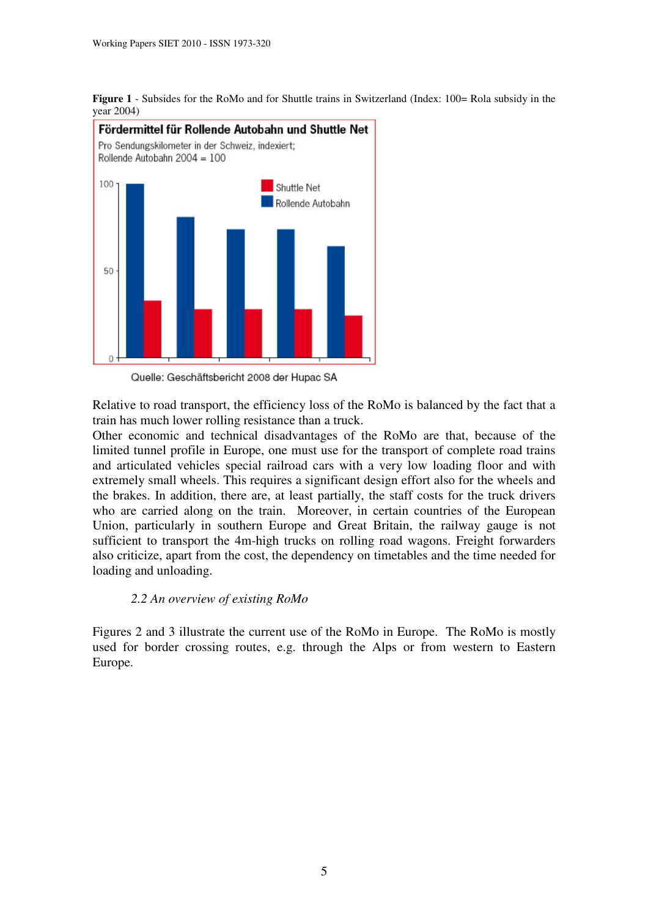



Quelle: Geschäftsbericht 2008 der Hupac SA

Relative to road transport, the efficiency loss of the RoMo is balanced by the fact that a train has much lower rolling resistance than a truck.

Other economic and technical disadvantages of the RoMo are that, because of the limited tunnel profile in Europe, one must use for the transport of complete road trains and articulated vehicles special railroad cars with a very low loading floor and with extremely small wheels. This requires a significant design effort also for the wheels and the brakes. In addition, there are, at least partially, the staff costs for the truck drivers who are carried along on the train. Moreover, in certain countries of the European Union, particularly in southern Europe and Great Britain, the railway gauge is not sufficient to transport the 4m-high trucks on rolling road wagons. Freight forwarders also criticize, apart from the cost, the dependency on timetables and the time needed for loading and unloading.

## *2.2 An overview of existing RoMo*

Figures 2 and 3 illustrate the current use of the RoMo in Europe. The RoMo is mostly used for border crossing routes, e.g. through the Alps or from western to Eastern Europe.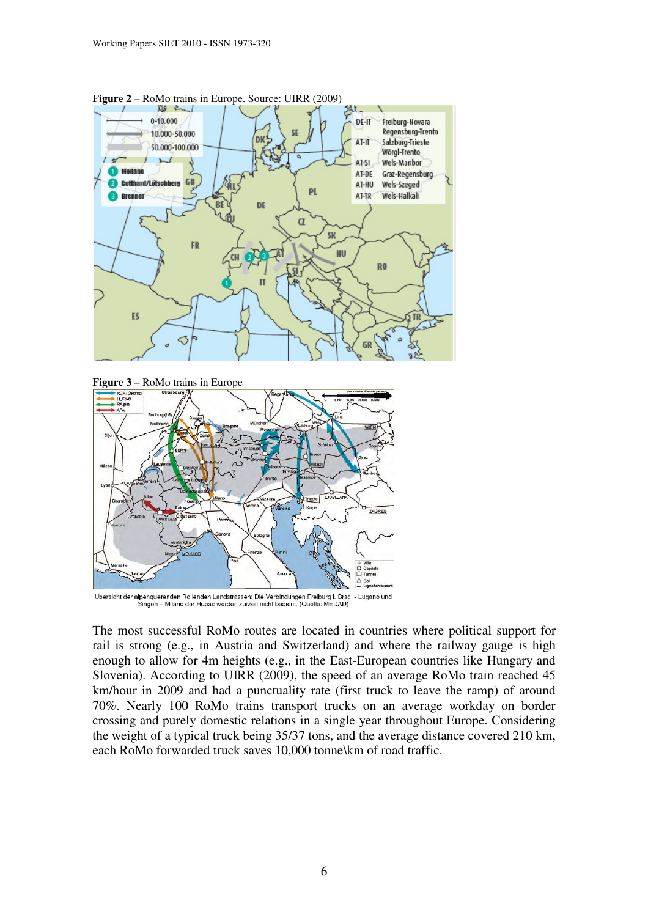





Übersicht der alpenquerenden Rollenden Landstrassen: Die Verbindungen Freiburg i. Brsg. - Lugano und<br>Singen – Milano der Hupac werden zurzeit nicht bedient. (Quelle: MEDAD)

The most successful RoMo routes are located in countries where political support for rail is strong (e.g., in Austria and Switzerland) and where the railway gauge is high enough to allow for 4m heights (e.g., in the East-European countries like Hungary and Slovenia). According to UIRR (2009), the speed of an average RoMo train reached 45 km/hour in 2009 and had a punctuality rate (first truck to leave the ramp) of around 70%. Nearly 100 RoMo trains transport trucks on an average workday on border crossing and purely domestic relations in a single year throughout Europe. Considering the weight of a typical truck being 35/37 tons, and the average distance covered 210 km, each RoMo forwarded truck saves 10,000 tonne\km of road traffic.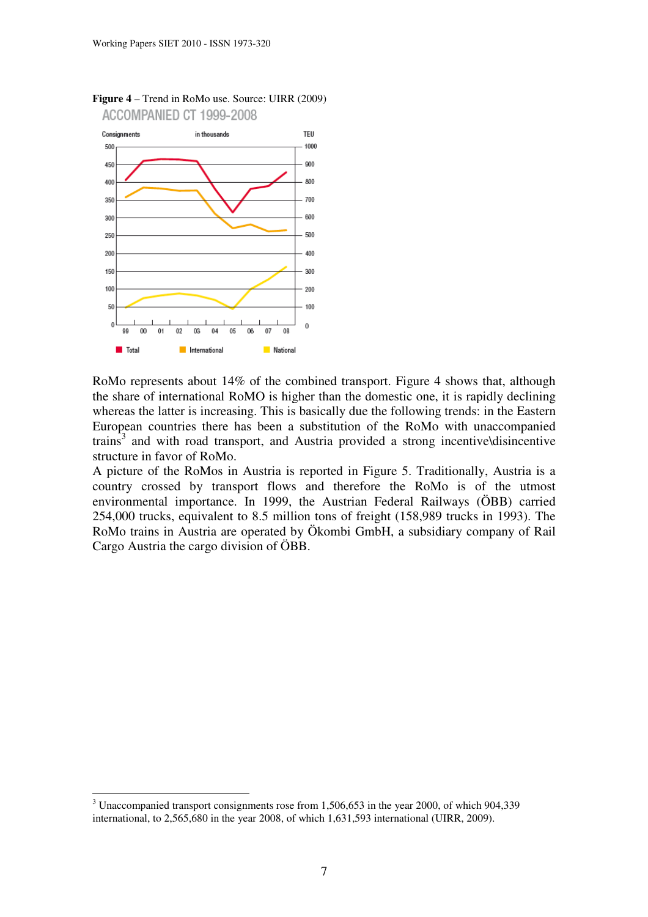

**Figure 4** – Trend in RoMo use. Source: UIRR (2009) ACCOMPANIED CT 1999-2008

RoMo represents about 14% of the combined transport. Figure 4 shows that, although the share of international RoMO is higher than the domestic one, it is rapidly declining whereas the latter is increasing. This is basically due the following trends: in the Eastern European countries there has been a substitution of the RoMo with unaccompanied trains<sup>3</sup> and with road transport, and Austria provided a strong incentive\disincentive structure in favor of RoMo.

A picture of the RoMos in Austria is reported in Figure 5. Traditionally, Austria is a country crossed by transport flows and therefore the RoMo is of the utmost environmental importance. In 1999, the Austrian Federal Railways (ÖBB) carried 254,000 trucks, equivalent to 8.5 million tons of freight (158,989 trucks in 1993). The RoMo trains in Austria are operated by Ökombi GmbH, a subsidiary company of Rail Cargo Austria the cargo division of ÖBB.

 $3$  Unaccompanied transport consignments rose from 1,506,653 in the year 2000, of which 904,339 international, to 2,565,680 in the year 2008, of which 1,631,593 international (UIRR, 2009).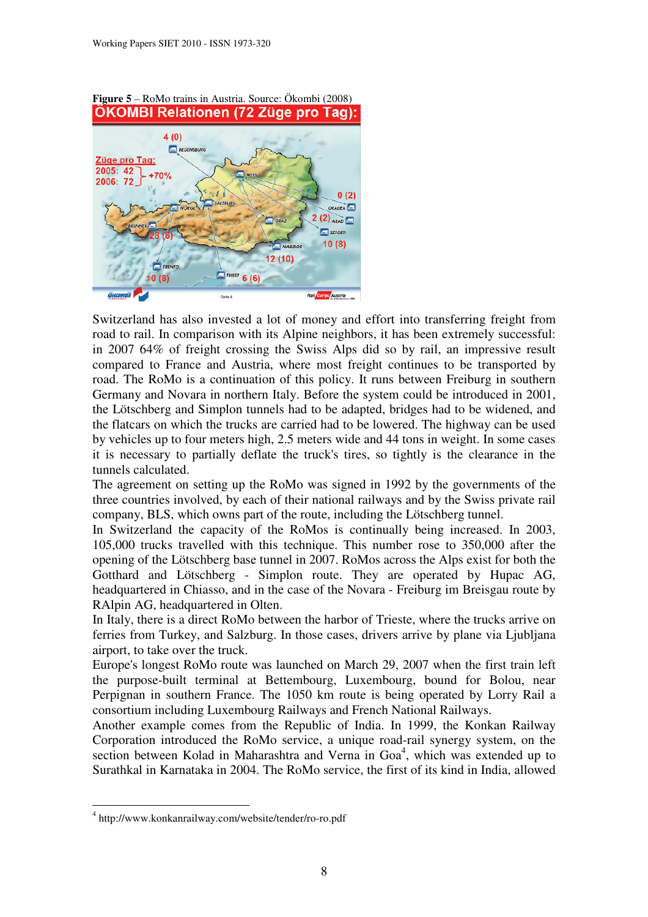

Switzerland has also invested a lot of money and effort into transferring freight from road to rail. In comparison with its Alpine neighbors, it has been extremely successful: in 2007 64% of freight crossing the Swiss Alps did so by rail, an impressive result compared to France and Austria, where most freight continues to be transported by road. The RoMo is a continuation of this policy. It runs between Freiburg in southern Germany and Novara in northern Italy. Before the system could be introduced in 2001, the Lötschberg and Simplon tunnels had to be adapted, bridges had to be widened, and the flatcars on which the trucks are carried had to be lowered. The highway can be used by vehicles up to four meters high, 2.5 meters wide and 44 tons in weight. In some cases it is necessary to partially deflate the truck's tires, so tightly is the clearance in the tunnels calculated.

The agreement on setting up the RoMo was signed in 1992 by the governments of the three countries involved, by each of their national railways and by the Swiss private rail company, BLS, which owns part of the route, including the Lötschberg tunnel.

In Switzerland the capacity of the RoMos is continually being increased. In 2003, 105,000 trucks travelled with this technique. This number rose to 350,000 after the opening of the Lötschberg base tunnel in 2007. RoMos across the Alps exist for both the Gotthard and Lötschberg - Simplon route. They are operated by Hupac AG, headquartered in Chiasso, and in the case of the Novara - Freiburg im Breisgau route by RAlpin AG, headquartered in Olten.

In Italy, there is a direct RoMo between the harbor of Trieste, where the trucks arrive on ferries from Turkey, and Salzburg. In those cases, drivers arrive by plane via Ljubljana airport, to take over the truck.

Europe's longest RoMo route was launched on March 29, 2007 when the first train left the purpose-built terminal at Bettembourg, Luxembourg, bound for Bolou, near Perpignan in southern France. The 1050 km route is being operated by Lorry Rail a consortium including Luxembourg Railways and French National Railways.

Another example comes from the Republic of India. In 1999, the Konkan Railway Corporation introduced the RoMo service, a unique road-rail synergy system, on the section between Kolad in Maharashtra and Verna in Goa<sup>4</sup>, which was extended up to Surathkal in Karnataka in 2004. The RoMo service, the first of its kind in India, allowed

<sup>4</sup> http://www.konkanrailway.com/website/tender/ro-ro.pdf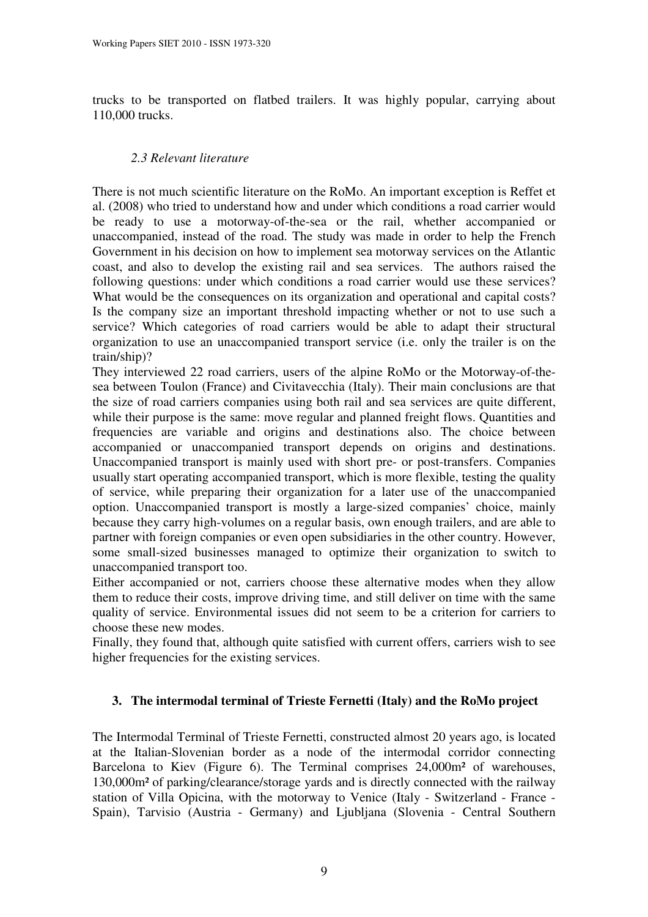trucks to be transported on flatbed trailers. It was highly popular, carrying about 110,000 trucks.

# *2.3 Relevant literature*

There is not much scientific literature on the RoMo. An important exception is Reffet et al. (2008) who tried to understand how and under which conditions a road carrier would be ready to use a motorway-of-the-sea or the rail, whether accompanied or unaccompanied, instead of the road. The study was made in order to help the French Government in his decision on how to implement sea motorway services on the Atlantic coast, and also to develop the existing rail and sea services. The authors raised the following questions: under which conditions a road carrier would use these services? What would be the consequences on its organization and operational and capital costs? Is the company size an important threshold impacting whether or not to use such a service? Which categories of road carriers would be able to adapt their structural organization to use an unaccompanied transport service (i.e. only the trailer is on the train/ship)?

They interviewed 22 road carriers, users of the alpine RoMo or the Motorway-of-thesea between Toulon (France) and Civitavecchia (Italy). Their main conclusions are that the size of road carriers companies using both rail and sea services are quite different, while their purpose is the same: move regular and planned freight flows. Quantities and frequencies are variable and origins and destinations also. The choice between accompanied or unaccompanied transport depends on origins and destinations. Unaccompanied transport is mainly used with short pre- or post-transfers. Companies usually start operating accompanied transport, which is more flexible, testing the quality of service, while preparing their organization for a later use of the unaccompanied option. Unaccompanied transport is mostly a large-sized companies' choice, mainly because they carry high-volumes on a regular basis, own enough trailers, and are able to partner with foreign companies or even open subsidiaries in the other country. However, some small-sized businesses managed to optimize their organization to switch to unaccompanied transport too.

Either accompanied or not, carriers choose these alternative modes when they allow them to reduce their costs, improve driving time, and still deliver on time with the same quality of service. Environmental issues did not seem to be a criterion for carriers to choose these new modes.

Finally, they found that, although quite satisfied with current offers, carriers wish to see higher frequencies for the existing services.

# **3. The intermodal terminal of Trieste Fernetti (Italy) and the RoMo project**

The Intermodal Terminal of Trieste Fernetti, constructed almost 20 years ago, is located at the Italian-Slovenian border as a node of the intermodal corridor connecting Barcelona to Kiev (Figure 6). The Terminal comprises 24,000m² of warehouses, 130,000m² of parking/clearance/storage yards and is directly connected with the railway station of Villa Opicina, with the motorway to Venice (Italy - Switzerland - France - Spain), Tarvisio (Austria - Germany) and Ljubljana (Slovenia - Central Southern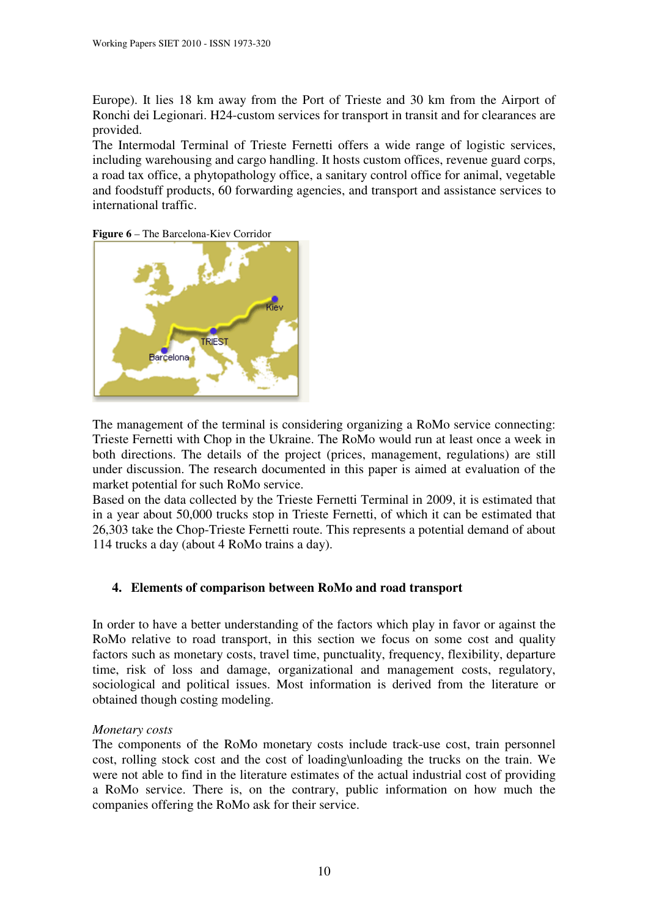Europe). It lies 18 km away from the Port of Trieste and 30 km from the Airport of Ronchi dei Legionari. H24-custom services for transport in transit and for clearances are provided.

The Intermodal Terminal of Trieste Fernetti offers a wide range of logistic services, including warehousing and cargo handling. It hosts custom offices, revenue guard corps, a road tax office, a phytopathology office, a sanitary control office for animal, vegetable and foodstuff products, 60 forwarding agencies, and transport and assistance services to international traffic.





The management of the terminal is considering organizing a RoMo service connecting: Trieste Fernetti with Chop in the Ukraine. The RoMo would run at least once a week in both directions. The details of the project (prices, management, regulations) are still under discussion. The research documented in this paper is aimed at evaluation of the market potential for such RoMo service.

Based on the data collected by the Trieste Fernetti Terminal in 2009, it is estimated that in a year about 50,000 trucks stop in Trieste Fernetti, of which it can be estimated that 26,303 take the Chop-Trieste Fernetti route. This represents a potential demand of about 114 trucks a day (about 4 RoMo trains a day).

# **4. Elements of comparison between RoMo and road transport**

In order to have a better understanding of the factors which play in favor or against the RoMo relative to road transport, in this section we focus on some cost and quality factors such as monetary costs, travel time, punctuality, frequency, flexibility, departure time, risk of loss and damage, organizational and management costs, regulatory, sociological and political issues. Most information is derived from the literature or obtained though costing modeling.

# *Monetary costs*

The components of the RoMo monetary costs include track-use cost, train personnel cost, rolling stock cost and the cost of loading\unloading the trucks on the train. We were not able to find in the literature estimates of the actual industrial cost of providing a RoMo service. There is, on the contrary, public information on how much the companies offering the RoMo ask for their service.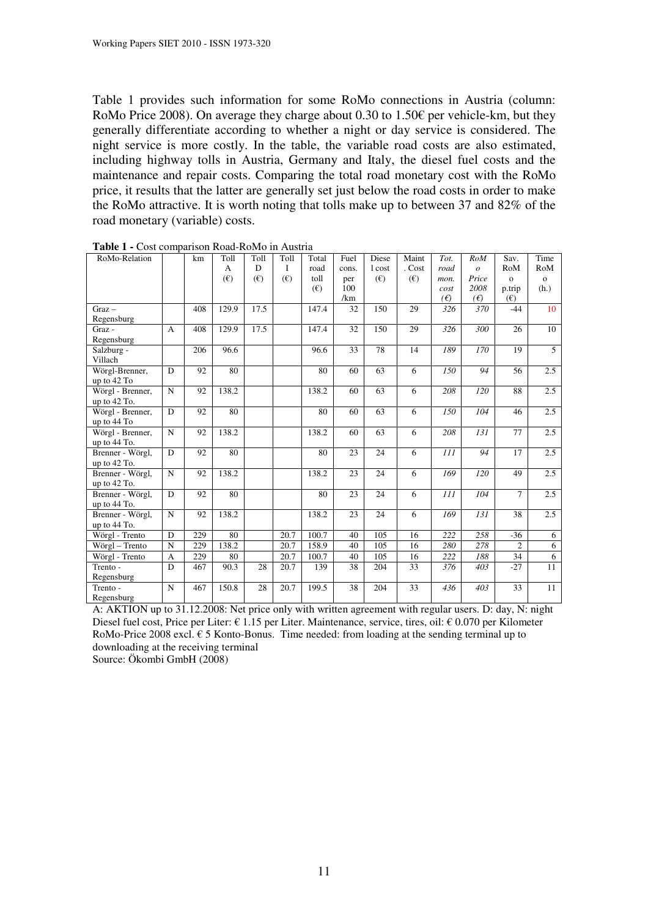Table 1 provides such information for some RoMo connections in Austria (column: RoMo Price 2008). On average they charge about 0.30 to 1.50€ per vehicle-km, but they generally differentiate according to whether a night or day service is considered. The night service is more costly. In the table, the variable road costs are also estimated, including highway tolls in Austria, Germany and Italy, the diesel fuel costs and the maintenance and repair costs. Comparing the total road monetary cost with the RoMo price, it results that the latter are generally set just below the road costs in order to make the RoMo attractive. It is worth noting that tolls make up to between 37 and 82% of the road monetary (variable) costs.

| $\sim$<br>RoMo-Relation |                | km  | hoom reoute reorato<br>Toll | Toll | Toll | Total | Fuel  | Diese        | Maint  | Tot. | <b>RoM</b>    | Sav.           | Time           |
|-------------------------|----------------|-----|-----------------------------|------|------|-------|-------|--------------|--------|------|---------------|----------------|----------------|
|                         |                |     | A                           | D    | I    | road  | cons. | 1 cost       | . Cost | road | $\mathcal{O}$ | RoM            | RoM            |
|                         |                |     | $(\epsilon)$                | (E)  | (E)  | toll  | per   | $(\epsilon)$ | (E)    | mon. | Price         | $\mathbf{o}$   | $\mathbf{o}$   |
|                         |                |     |                             |      |      | (E)   | 100   |              |        | cost | 2008          | p.trip         | (h.)           |
|                         |                |     |                             |      |      |       | /km   |              |        | (E)  | $(\epsilon)$  | (E)            |                |
| $Graz -$                |                | 408 | 129.9                       | 17.5 |      | 147.4 | 32    | 150          | 29     | 326  | 370           | $-44$          | 10             |
| Regensburg              |                |     |                             |      |      |       |       |              |        |      |               |                |                |
| Graz -                  | $\mathbf{A}$   | 408 | 129.9                       | 17.5 |      | 147.4 | 32    | 150          | 29     | 326  | 300           | 26             | 10             |
| Regensburg              |                |     |                             |      |      |       |       |              |        |      |               |                |                |
| Salzburg -              |                | 206 | 96.6                        |      |      | 96.6  | 33    | 78           | 14     | 189  | 170           | 19             | $\overline{5}$ |
| Villach                 |                |     |                             |      |      |       |       |              |        |      |               |                |                |
| Wörgl-Brenner,          | D              | 92  | 80                          |      |      | 80    | 60    | 63           | 6      | 150  | 94            | 56             | 2.5            |
| up to $42$ To           |                |     |                             |      |      |       |       |              |        |      |               |                |                |
| Wörgl - Brenner,        | $\mathbf N$    | 92  | 138.2                       |      |      | 138.2 | 60    | 63           | 6      | 208  | 120           | 88             | 2.5            |
| up to 42 To.            |                |     |                             |      |      |       |       |              |        |      |               |                |                |
| Wörgl - Brenner,        | D              | 92  | 80                          |      |      | 80    | 60    | 63           | 6      | 150  | 104           | 46             | 2.5            |
| up to 44 To             |                |     |                             |      |      |       |       |              |        |      |               |                |                |
| Wörgl - Brenner,        | $\mathbf N$    | 92  | 138.2                       |      |      | 138.2 | 60    | 63           | 6      | 208  | 131           | 77             | 2.5            |
| up to 44 To.            |                |     |                             |      |      |       |       |              |        |      |               |                |                |
| Brenner - Wörgl,        | D              | 92  | 80                          |      |      | 80    | 23    | 24           | 6      | 111  | 94            | 17             | 2.5            |
| up to 42 To.            |                |     |                             |      |      |       |       |              |        |      |               |                |                |
| Brenner - Wörgl,        | $\mathbf N$    | 92  | 138.2                       |      |      | 138.2 | 23    | 24           | 6      | 169  | 120           | 49             | 2.5            |
| up to 42 To.            |                |     |                             |      |      |       |       |              |        |      |               |                |                |
| Brenner - Wörgl,        | D              | 92  | 80                          |      |      | 80    | 23    | 24           | 6      | 111  | 104           | $\overline{7}$ | 2.5            |
| up to 44 To.            |                |     |                             |      |      |       |       |              |        |      |               |                |                |
| Brenner - Wörgl,        | $\mathbf N$    | 92  | 138.2                       |      |      | 138.2 | 23    | 24           | 6      | 169  | 131           | 38             | 2.5            |
| up to 44 To.            |                |     |                             |      |      |       |       |              |        |      |               |                |                |
| Wörgl - Trento          | D              | 229 | 80                          |      | 20.7 | 100.7 | 40    | 105          | 16     | 222  | 258           | $-36$          | 6              |
| Wörgl - Trento          | $\mathbf N$    | 229 | 138.2                       |      | 20.7 | 158.9 | 40    | 105          | 16     | 280  | 278           | $\overline{2}$ | 6              |
| Wörgl - Trento          | $\overline{A}$ | 229 | 80                          |      | 20.7 | 100.7 | 40    | 105          | 16     | 222  | 188           | 34             | 6              |
| Trento -                | D              | 467 | 90.3                        | 28   | 20.7 | 139   | 38    | 204          | 33     | 376  | 403           | $-27$          | 11             |
| Regensburg              |                |     |                             |      |      |       |       |              |        |      |               |                |                |
| Trento -                | N              | 467 | 150.8                       | 28   | 20.7 | 199.5 | 38    | 204          | 33     | 436  | 403           | 33             | 11             |
| Regensburg              |                |     |                             |      |      |       |       |              |        |      |               |                |                |

**Table 1 -** Cost comparison Road-RoMo in Austria

A: AKTION up to 31.12.2008: Net price only with written agreement with regular users. D: day, N: night Diesel fuel cost, Price per Liter: € 1.15 per Liter. Maintenance, service, tires, oil: € 0.070 per Kilometer RoMo-Price 2008 excl. € 5 Konto-Bonus. Time needed: from loading at the sending terminal up to downloading at the receiving terminal

Source: Ökombi GmbH (2008)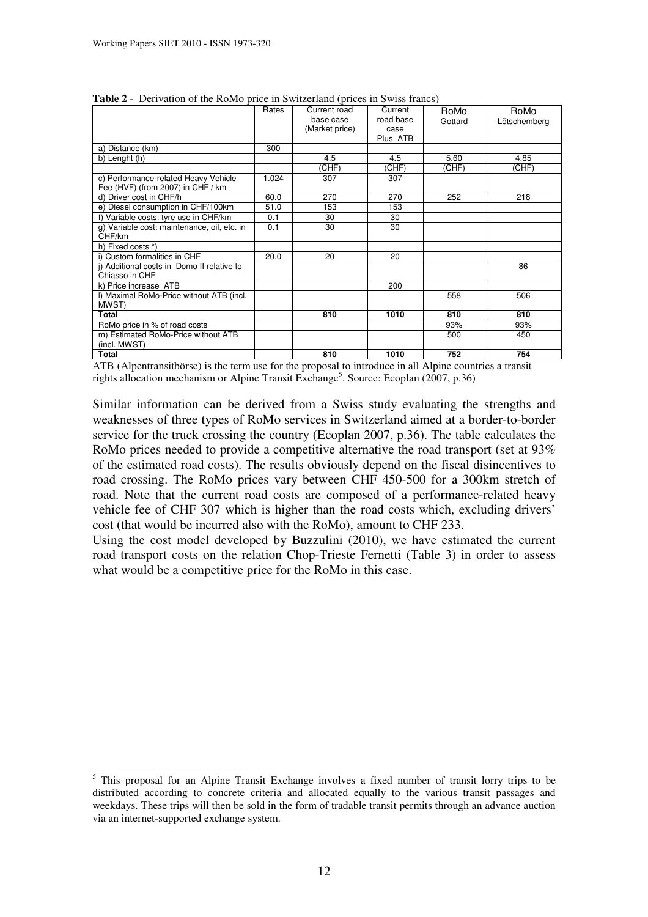$\overline{a}$ 

|                                             | Rates | Current road   | Current          | RoMo    | RoMo         |
|---------------------------------------------|-------|----------------|------------------|---------|--------------|
|                                             |       | base case      | road base        | Gottard | Lötschemberg |
|                                             |       | (Market price) | case<br>Plus ATB |         |              |
| a) Distance (km)                            | 300   |                |                  |         |              |
|                                             |       |                |                  |         |              |
| b) Lenght (h)                               |       | 4.5            | 4.5              | 5.60    | 4.85         |
|                                             |       | CHF)           | (CHF)            | (CHF)   | (CHF)        |
| c) Performance-related Heavy Vehicle        | 1.024 | 307            | 307              |         |              |
| Fee (HVF) (from 2007) in CHF / km           |       |                |                  |         |              |
| d) Driver cost in CHF/h                     | 60.0  | 270            | 270              | 252     | 218          |
| e) Diesel consumption in CHF/100km          | 51.0  | 153            | 153              |         |              |
| f) Variable costs: tyre use in CHF/km       | 0.1   | 30             | 30               |         |              |
| g) Variable cost: maintenance, oil, etc. in | 0.1   | 30             | 30               |         |              |
| CHF/km                                      |       |                |                  |         |              |
| h) Fixed costs *)                           |       |                |                  |         |              |
| i) Custom formalities in CHF                | 20.0  | 20             | 20               |         |              |
| i) Additional costs in Domo II relative to  |       |                |                  |         | 86           |
| Chiasso in CHF                              |       |                |                  |         |              |
| k) Price increase ATB                       |       |                | 200              |         |              |
| I) Maximal RoMo-Price without ATB (incl.    |       |                |                  | 558     | 506          |
| MWST)                                       |       |                |                  |         |              |
| Total                                       |       | 810            | 1010             | 810     | 810          |
| RoMo price in % of road costs               |       |                |                  | 93%     | 93%          |
| m) Estimated RoMo-Price without ATB         |       |                |                  | 500     | 450          |
| (incl. MWST)                                |       |                |                  |         |              |
| Total                                       |       | 810            | 1010             | 752     | 754          |

**Table 2** - Derivation of the RoMo price in Switzerland (prices in Swiss francs)

ATB (Alpentransitbörse) is the term use for the proposal to introduce in all Alpine countries a transit rights allocation mechanism or Alpine Transit Exchange<sup>5</sup>. Source: Ecoplan (2007, p.36)

Similar information can be derived from a Swiss study evaluating the strengths and weaknesses of three types of RoMo services in Switzerland aimed at a border-to-border service for the truck crossing the country (Ecoplan 2007, p.36). The table calculates the RoMo prices needed to provide a competitive alternative the road transport (set at 93%) of the estimated road costs). The results obviously depend on the fiscal disincentives to road crossing. The RoMo prices vary between CHF 450-500 for a 300km stretch of road. Note that the current road costs are composed of a performance-related heavy vehicle fee of CHF 307 which is higher than the road costs which, excluding drivers' cost (that would be incurred also with the RoMo), amount to CHF 233.

Using the cost model developed by Buzzulini (2010), we have estimated the current road transport costs on the relation Chop-Trieste Fernetti (Table 3) in order to assess what would be a competitive price for the RoMo in this case.

<sup>&</sup>lt;sup>5</sup> This proposal for an Alpine Transit Exchange involves a fixed number of transit lorry trips to be distributed according to concrete criteria and allocated equally to the various transit passages and weekdays. These trips will then be sold in the form of tradable transit permits through an advance auction via an internet-supported exchange system.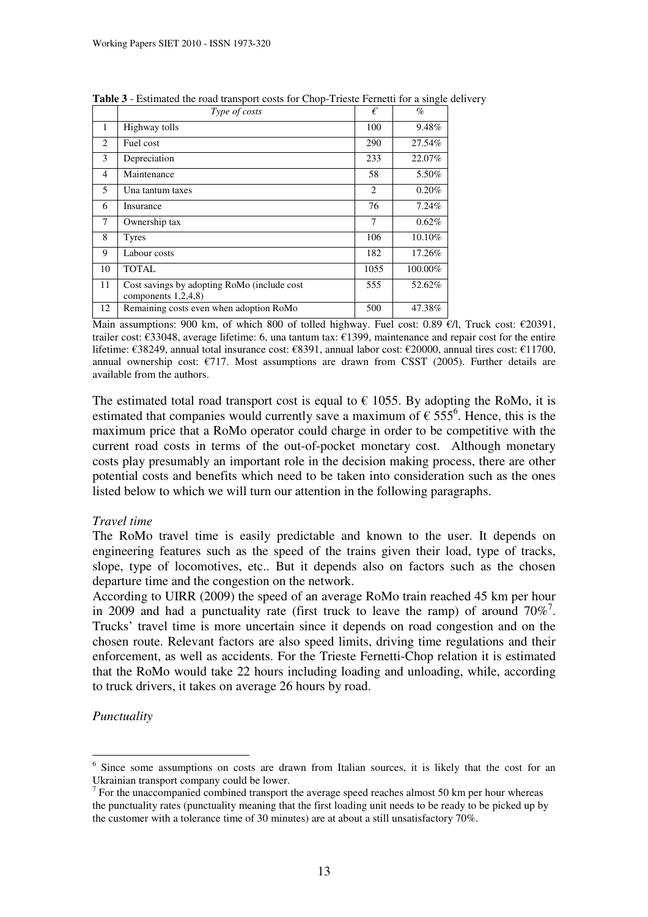|        | Type of costs                                                         | €    | $\%$     |
|--------|-----------------------------------------------------------------------|------|----------|
| 1      | Highway tolls                                                         | 100  | 9.48%    |
| 2      | Fuel cost                                                             | 290  | 27.54%   |
| 3      | Depreciation                                                          | 233  | 22.07%   |
| 4      | Maintenance                                                           | 58   | 5.50%    |
| 5      | Una tantum taxes                                                      | 2    | $0.20\%$ |
| 6      | Insurance                                                             | 76   | 7.24%    |
| $\tau$ | Ownership tax                                                         | 7    | 0.62%    |
| 8      | <b>Tyres</b>                                                          | 106  | 10.10%   |
| 9      | Labour costs                                                          | 182  | 17.26%   |
| 10     | <b>TOTAL</b>                                                          | 1055 | 100.00%  |
| 11     | Cost savings by adopting RoMo (include cost<br>components $1,2,4,8$ ) | 555  | 52.62%   |
| 12     | Remaining costs even when adoption RoMo                               | 500  | 47.38%   |

**Table 3** - Estimated the road transport costs for Chop-Trieste Fernetti for a single delivery

Main assumptions: 900 km, of which 800 of tolled highway. Fuel cost: 0.89 €/l, Truck cost: €20391, trailer cost: €33048, average lifetime: 6, una tantum tax: €1399, maintenance and repair cost for the entire lifetime: €38249, annual total insurance cost: €8391, annual labor cost: €20000, annual tires cost: €11700, annual ownership cost:  $\epsilon$ 717. Most assumptions are drawn from CSST (2005). Further details are available from the authors.

The estimated total road transport cost is equal to  $\epsilon$  1055. By adopting the RoMo, it is estimated that companies would currently save a maximum of  $\epsilon$  555<sup>6</sup>. Hence, this is the maximum price that a RoMo operator could charge in order to be competitive with the current road costs in terms of the out-of-pocket monetary cost. Although monetary costs play presumably an important role in the decision making process, there are other potential costs and benefits which need to be taken into consideration such as the ones listed below to which we will turn our attention in the following paragraphs.

## *Travel time*

The RoMo travel time is easily predictable and known to the user. It depends on engineering features such as the speed of the trains given their load, type of tracks, slope, type of locomotives, etc.. But it depends also on factors such as the chosen departure time and the congestion on the network.

According to UIRR (2009) the speed of an average RoMo train reached 45 km per hour in 2009 and had a punctuality rate (first truck to leave the ramp) of around  $70\%$ <sup>7</sup>. Trucks' travel time is more uncertain since it depends on road congestion and on the chosen route. Relevant factors are also speed limits, driving time regulations and their enforcement, as well as accidents. For the Trieste Fernetti-Chop relation it is estimated that the RoMo would take 22 hours including loading and unloading, while, according to truck drivers, it takes on average 26 hours by road.

*Punctuality* 

<sup>&</sup>lt;sup>6</sup> Since some assumptions on costs are drawn from Italian sources, it is likely that the cost for an Ukrainian transport company could be lower.

 $7$  For the unaccompanied combined transport the average speed reaches almost 50 km per hour whereas the punctuality rates (punctuality meaning that the first loading unit needs to be ready to be picked up by the customer with a tolerance time of 30 minutes) are at about a still unsatisfactory 70%.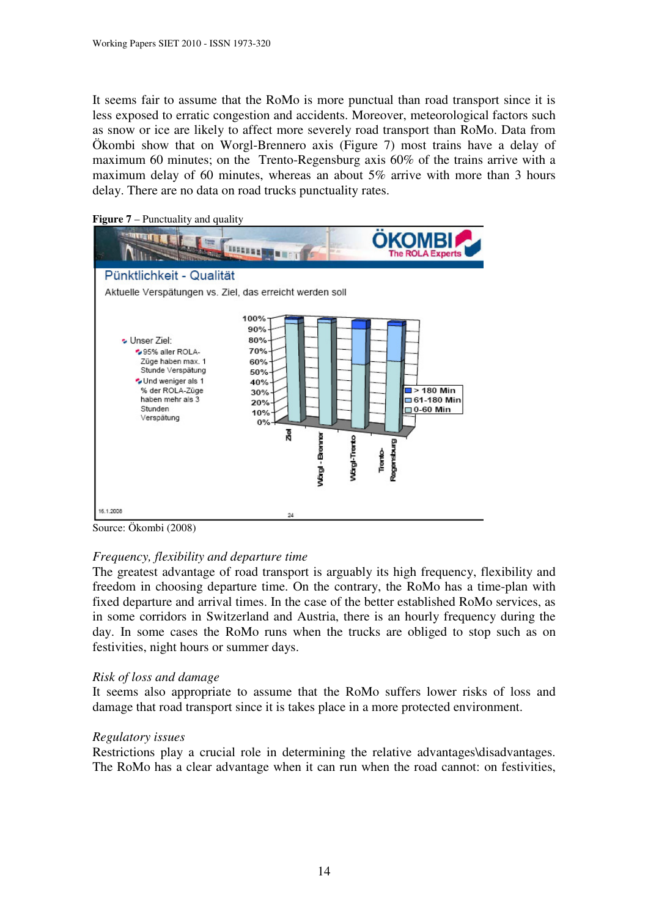It seems fair to assume that the RoMo is more punctual than road transport since it is less exposed to erratic congestion and accidents. Moreover, meteorological factors such as snow or ice are likely to affect more severely road transport than RoMo. Data from Ökombi show that on Worgl-Brennero axis (Figure 7) most trains have a delay of maximum 60 minutes; on the Trento-Regensburg axis 60% of the trains arrive with a maximum delay of 60 minutes, whereas an about 5% arrive with more than 3 hours delay. There are no data on road trucks punctuality rates.



**Figure 7** – Punctuality and quality

Source: Ökombi (2008)

## *Frequency, flexibility and departure time*

The greatest advantage of road transport is arguably its high frequency, flexibility and freedom in choosing departure time. On the contrary, the RoMo has a time-plan with fixed departure and arrival times. In the case of the better established RoMo services, as in some corridors in Switzerland and Austria, there is an hourly frequency during the day. In some cases the RoMo runs when the trucks are obliged to stop such as on festivities, night hours or summer days.

## *Risk of loss and damage*

It seems also appropriate to assume that the RoMo suffers lower risks of loss and damage that road transport since it is takes place in a more protected environment.

## *Regulatory issues*

Restrictions play a crucial role in determining the relative advantages\disadvantages. The RoMo has a clear advantage when it can run when the road cannot: on festivities,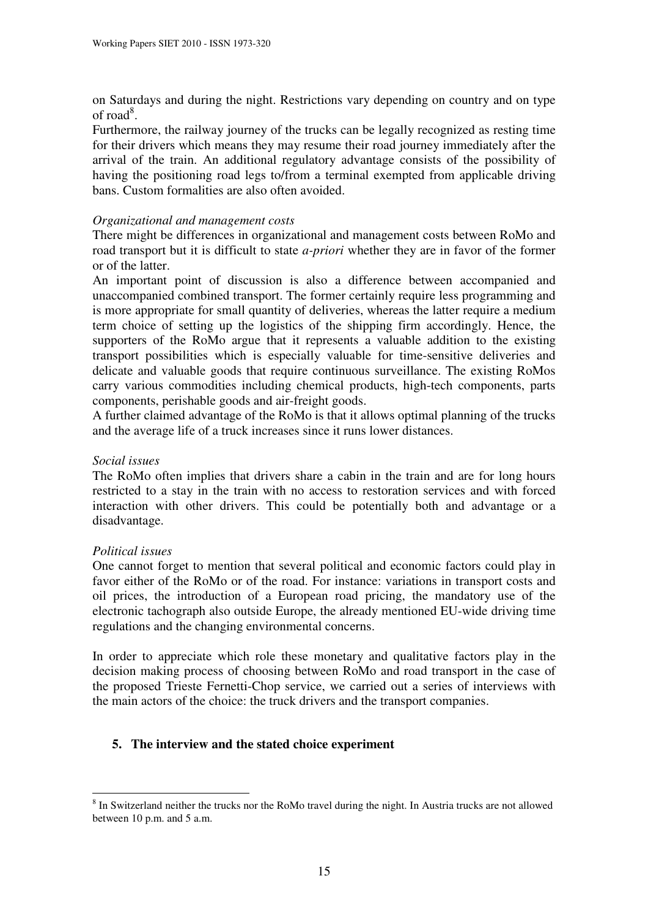on Saturdays and during the night. Restrictions vary depending on country and on type of road<sup>8</sup>.

Furthermore, the railway journey of the trucks can be legally recognized as resting time for their drivers which means they may resume their road journey immediately after the arrival of the train. An additional regulatory advantage consists of the possibility of having the positioning road legs to/from a terminal exempted from applicable driving bans. Custom formalities are also often avoided.

#### *Organizational and management costs*

There might be differences in organizational and management costs between RoMo and road transport but it is difficult to state *a-priori* whether they are in favor of the former or of the latter.

An important point of discussion is also a difference between accompanied and unaccompanied combined transport. The former certainly require less programming and is more appropriate for small quantity of deliveries, whereas the latter require a medium term choice of setting up the logistics of the shipping firm accordingly. Hence, the supporters of the RoMo argue that it represents a valuable addition to the existing transport possibilities which is especially valuable for time-sensitive deliveries and delicate and valuable goods that require continuous surveillance. The existing RoMos carry various commodities including chemical products, high-tech components, parts components, perishable goods and air-freight goods.

A further claimed advantage of the RoMo is that it allows optimal planning of the trucks and the average life of a truck increases since it runs lower distances.

#### *Social issues*

The RoMo often implies that drivers share a cabin in the train and are for long hours restricted to a stay in the train with no access to restoration services and with forced interaction with other drivers. This could be potentially both and advantage or a disadvantage.

#### *Political issues*

 $\overline{a}$ 

One cannot forget to mention that several political and economic factors could play in favor either of the RoMo or of the road. For instance: variations in transport costs and oil prices, the introduction of a European road pricing, the mandatory use of the electronic tachograph also outside Europe, the already mentioned EU-wide driving time regulations and the changing environmental concerns.

In order to appreciate which role these monetary and qualitative factors play in the decision making process of choosing between RoMo and road transport in the case of the proposed Trieste Fernetti-Chop service, we carried out a series of interviews with the main actors of the choice: the truck drivers and the transport companies.

## **5. The interview and the stated choice experiment**

<sup>&</sup>lt;sup>8</sup> In Switzerland neither the trucks nor the RoMo travel during the night. In Austria trucks are not allowed between 10 p.m. and 5 a.m.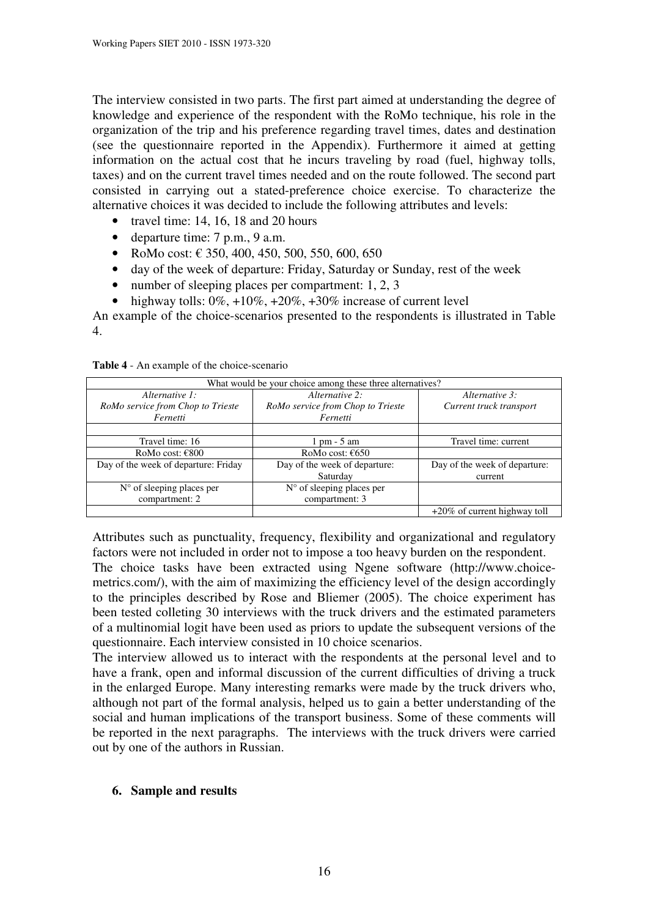The interview consisted in two parts. The first part aimed at understanding the degree of knowledge and experience of the respondent with the RoMo technique, his role in the organization of the trip and his preference regarding travel times, dates and destination (see the questionnaire reported in the Appendix). Furthermore it aimed at getting information on the actual cost that he incurs traveling by road (fuel, highway tolls, taxes) and on the current travel times needed and on the route followed. The second part consisted in carrying out a stated-preference choice exercise. To characterize the alternative choices it was decided to include the following attributes and levels:

- travel time: 14, 16, 18 and 20 hours
- departure time: 7 p.m., 9 a.m.
- RoMo cost:  $\in$  350, 400, 450, 500, 550, 600, 650
- day of the week of departure: Friday, Saturday or Sunday, rest of the week
- number of sleeping places per compartment: 1, 2, 3
- highway tolls:  $0\%, +10\%, +20\%, +30\%$  increase of current level

An example of the choice-scenarios presented to the respondents is illustrated in Table 4.

| What would be your choice among these three alternatives? |                                    |                                 |  |  |  |  |  |  |
|-----------------------------------------------------------|------------------------------------|---------------------------------|--|--|--|--|--|--|
| Alternative 1:                                            | Alternative 2:                     | Alternative 3:                  |  |  |  |  |  |  |
| RoMo service from Chop to Trieste                         | RoMo service from Chop to Trieste  | Current truck transport         |  |  |  |  |  |  |
| Fernetti                                                  | Fernetti                           |                                 |  |  |  |  |  |  |
|                                                           |                                    |                                 |  |  |  |  |  |  |
| Travel time: 16                                           | $1 \text{ pm} - 5 \text{ am}$      | Travel time: current            |  |  |  |  |  |  |
| RoMo cost: $€800$                                         | RoMo cost: $\epsilon$ 650          |                                 |  |  |  |  |  |  |
| Day of the week of departure: Friday                      | Day of the week of departure:      | Day of the week of departure:   |  |  |  |  |  |  |
|                                                           | Saturday                           | current                         |  |  |  |  |  |  |
| $N°$ of sleeping places per                               | $N^{\circ}$ of sleeping places per |                                 |  |  |  |  |  |  |
| compartment: 2                                            | compartment: 3                     |                                 |  |  |  |  |  |  |
|                                                           |                                    | $+20\%$ of current highway toll |  |  |  |  |  |  |

#### **Table 4** - An example of the choice-scenario

Attributes such as punctuality, frequency, flexibility and organizational and regulatory factors were not included in order not to impose a too heavy burden on the respondent.

The choice tasks have been extracted using Ngene software (http://www.choicemetrics.com/), with the aim of maximizing the efficiency level of the design accordingly to the principles described by Rose and Bliemer (2005). The choice experiment has been tested colleting 30 interviews with the truck drivers and the estimated parameters of a multinomial logit have been used as priors to update the subsequent versions of the questionnaire. Each interview consisted in 10 choice scenarios.

The interview allowed us to interact with the respondents at the personal level and to have a frank, open and informal discussion of the current difficulties of driving a truck in the enlarged Europe. Many interesting remarks were made by the truck drivers who, although not part of the formal analysis, helped us to gain a better understanding of the social and human implications of the transport business. Some of these comments will be reported in the next paragraphs. The interviews with the truck drivers were carried out by one of the authors in Russian.

#### **6. Sample and results**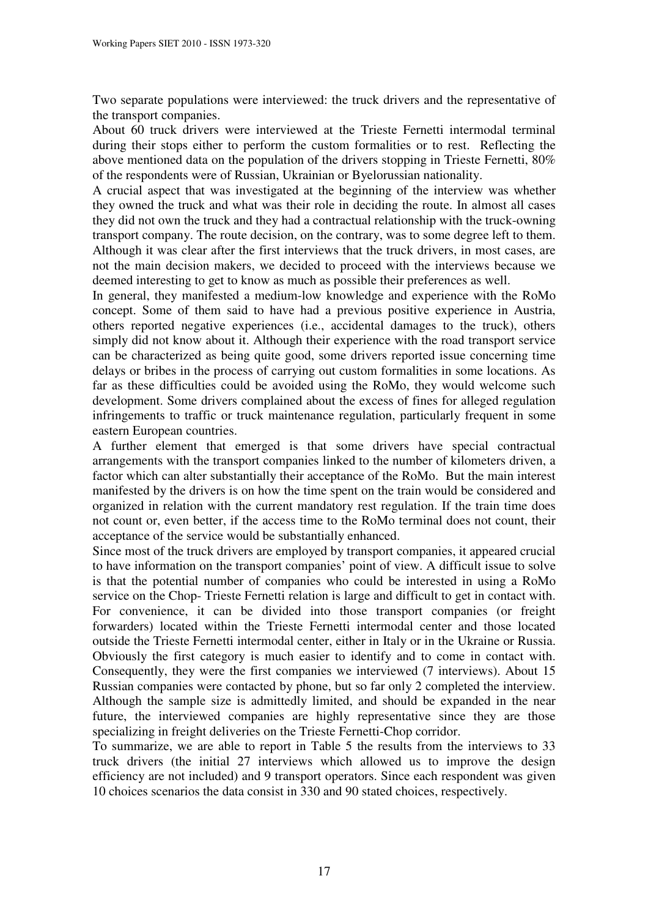Two separate populations were interviewed: the truck drivers and the representative of the transport companies.

About 60 truck drivers were interviewed at the Trieste Fernetti intermodal terminal during their stops either to perform the custom formalities or to rest. Reflecting the above mentioned data on the population of the drivers stopping in Trieste Fernetti, 80% of the respondents were of Russian, Ukrainian or Byelorussian nationality.

A crucial aspect that was investigated at the beginning of the interview was whether they owned the truck and what was their role in deciding the route. In almost all cases they did not own the truck and they had a contractual relationship with the truck-owning transport company. The route decision, on the contrary, was to some degree left to them. Although it was clear after the first interviews that the truck drivers, in most cases, are not the main decision makers, we decided to proceed with the interviews because we deemed interesting to get to know as much as possible their preferences as well.

In general, they manifested a medium-low knowledge and experience with the RoMo concept. Some of them said to have had a previous positive experience in Austria, others reported negative experiences (i.e., accidental damages to the truck), others simply did not know about it. Although their experience with the road transport service can be characterized as being quite good, some drivers reported issue concerning time delays or bribes in the process of carrying out custom formalities in some locations. As far as these difficulties could be avoided using the RoMo, they would welcome such development. Some drivers complained about the excess of fines for alleged regulation infringements to traffic or truck maintenance regulation, particularly frequent in some eastern European countries.

A further element that emerged is that some drivers have special contractual arrangements with the transport companies linked to the number of kilometers driven, a factor which can alter substantially their acceptance of the RoMo. But the main interest manifested by the drivers is on how the time spent on the train would be considered and organized in relation with the current mandatory rest regulation. If the train time does not count or, even better, if the access time to the RoMo terminal does not count, their acceptance of the service would be substantially enhanced.

Since most of the truck drivers are employed by transport companies, it appeared crucial to have information on the transport companies' point of view. A difficult issue to solve is that the potential number of companies who could be interested in using a RoMo service on the Chop- Trieste Fernetti relation is large and difficult to get in contact with. For convenience, it can be divided into those transport companies (or freight forwarders) located within the Trieste Fernetti intermodal center and those located outside the Trieste Fernetti intermodal center, either in Italy or in the Ukraine or Russia. Obviously the first category is much easier to identify and to come in contact with. Consequently, they were the first companies we interviewed (7 interviews). About 15 Russian companies were contacted by phone, but so far only 2 completed the interview. Although the sample size is admittedly limited, and should be expanded in the near future, the interviewed companies are highly representative since they are those specializing in freight deliveries on the Trieste Fernetti-Chop corridor.

To summarize, we are able to report in Table 5 the results from the interviews to 33 truck drivers (the initial 27 interviews which allowed us to improve the design efficiency are not included) and 9 transport operators. Since each respondent was given 10 choices scenarios the data consist in 330 and 90 stated choices, respectively.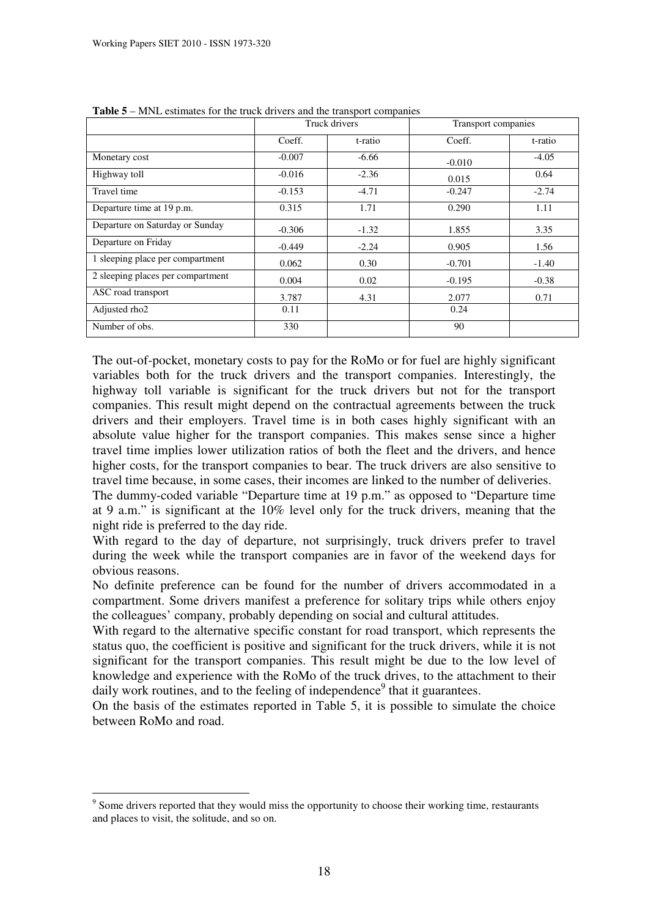|                                   |          | Truck drivers | Transport companies |         |  |
|-----------------------------------|----------|---------------|---------------------|---------|--|
|                                   | Coeff.   | t-ratio       | Coeff.              | t-ratio |  |
| Monetary cost                     | $-0.007$ | $-6.66$       | $-0.010$            | $-4.05$ |  |
| Highway toll                      | $-0.016$ | $-2.36$       | 0.015               | 0.64    |  |
| Travel time                       | $-0.153$ | $-4.71$       | $-0.247$            | $-2.74$ |  |
| Departure time at 19 p.m.         | 0.315    | 1.71          | 0.290               | 1.11    |  |
| Departure on Saturday or Sunday   | $-0.306$ | $-1.32$       | 1.855               | 3.35    |  |
| Departure on Friday               | $-0.449$ | $-2.24$       | 0.905               | 1.56    |  |
| 1 sleeping place per compartment  | 0.062    | 0.30          | $-0.701$            | $-1.40$ |  |
| 2 sleeping places per compartment | 0.004    | 0.02          | $-0.195$            | $-0.38$ |  |
| ASC road transport                | 3.787    | 4.31          | 2.077               | 0.71    |  |
| Adjusted rho2                     | 0.11     |               | 0.24                |         |  |
| Number of obs.                    | 330      |               | 90                  |         |  |

**Table 5** – MNL estimates for the truck drivers and the transport companies

The out-of-pocket, monetary costs to pay for the RoMo or for fuel are highly significant variables both for the truck drivers and the transport companies. Interestingly, the highway toll variable is significant for the truck drivers but not for the transport companies. This result might depend on the contractual agreements between the truck drivers and their employers. Travel time is in both cases highly significant with an absolute value higher for the transport companies. This makes sense since a higher travel time implies lower utilization ratios of both the fleet and the drivers, and hence higher costs, for the transport companies to bear. The truck drivers are also sensitive to travel time because, in some cases, their incomes are linked to the number of deliveries.

The dummy-coded variable "Departure time at 19 p.m." as opposed to "Departure time at 9 a.m." is significant at the 10% level only for the truck drivers, meaning that the night ride is preferred to the day ride.

With regard to the day of departure, not surprisingly, truck drivers prefer to travel during the week while the transport companies are in favor of the weekend days for obvious reasons.

No definite preference can be found for the number of drivers accommodated in a compartment. Some drivers manifest a preference for solitary trips while others enjoy the colleagues' company, probably depending on social and cultural attitudes.

With regard to the alternative specific constant for road transport, which represents the status quo, the coefficient is positive and significant for the truck drivers, while it is not significant for the transport companies. This result might be due to the low level of knowledge and experience with the RoMo of the truck drives, to the attachment to their daily work routines, and to the feeling of independence<sup>9</sup> that it guarantees.

On the basis of the estimates reported in Table 5, it is possible to simulate the choice between RoMo and road.

<sup>&</sup>lt;sup>9</sup> Some drivers reported that they would miss the opportunity to choose their working time, restaurants and places to visit, the solitude, and so on.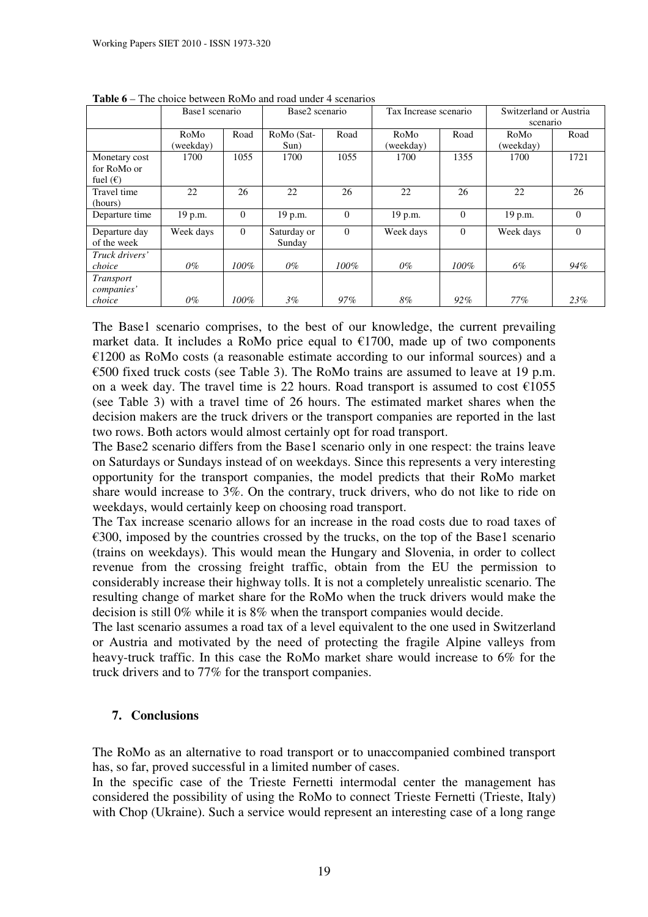|                   | Base1 scenario |          | Base2 scenario |          | Tax Increase scenario |          | Switzerland or Austria |          |  |
|-------------------|----------------|----------|----------------|----------|-----------------------|----------|------------------------|----------|--|
|                   |                |          |                |          |                       |          | scenario               |          |  |
|                   | RoMo           | Road     | RoMo (Sat-     | Road     | RoMo                  | Road     | RoMo                   | Road     |  |
|                   | (weekday)      |          | Sun)           |          | (weekday)             |          | (weekday)              |          |  |
| Monetary cost     | 1700           | 1055     | 1700           | 1055     | 1700                  | 1355     | 1700                   | 1721     |  |
| for RoMo or       |                |          |                |          |                       |          |                        |          |  |
| fuel $(\epsilon)$ |                |          |                |          |                       |          |                        |          |  |
| Travel time       | 22             | 26       | 22             | 26       | 22                    | 26       | 22                     | 26       |  |
| (hours)           |                |          |                |          |                       |          |                        |          |  |
| Departure time    | 19 p.m.        | $\Omega$ | 19 p.m.        | $\Omega$ | 19 p.m.               | $\Omega$ | 19 p.m.                | $\Omega$ |  |
| Departure day     | Week days      | $\Omega$ | Saturday or    | $\Omega$ | Week days             | $\Omega$ | Week days              | $\Omega$ |  |
| of the week       |                |          | Sunday         |          |                       |          |                        |          |  |
| Truck drivers'    |                |          |                |          |                       |          |                        |          |  |
| choice            | 0%             | $100\%$  | $0\%$          | $100\%$  | 0%                    | $100\%$  | 6%                     | 94%      |  |
| Transport         |                |          |                |          |                       |          |                        |          |  |
| companies'        |                |          |                |          |                       |          |                        |          |  |
| choice            | $0\%$          | $100\%$  | $3\%$          | $97\%$   | 8%                    | $92\%$   | 77%                    | 23%      |  |

**Table 6** – The choice between RoMo and road under 4 scenarios

The Base1 scenario comprises, to the best of our knowledge, the current prevailing market data. It includes a RoMo price equal to  $£1700$ , made up of two components  $€1200$  as RoMo costs (a reasonable estimate according to our informal sources) and a €500 fixed truck costs (see Table 3). The RoMo trains are assumed to leave at 19 p.m. on a week day. The travel time is 22 hours. Road transport is assumed to cost  $\epsilon$ 1055 (see Table 3) with a travel time of 26 hours. The estimated market shares when the decision makers are the truck drivers or the transport companies are reported in the last two rows. Both actors would almost certainly opt for road transport.

The Base2 scenario differs from the Base1 scenario only in one respect: the trains leave on Saturdays or Sundays instead of on weekdays. Since this represents a very interesting opportunity for the transport companies, the model predicts that their RoMo market share would increase to 3%. On the contrary, truck drivers, who do not like to ride on weekdays, would certainly keep on choosing road transport.

The Tax increase scenario allows for an increase in the road costs due to road taxes of  $\epsilon$ 300, imposed by the countries crossed by the trucks, on the top of the Base1 scenario (trains on weekdays). This would mean the Hungary and Slovenia, in order to collect revenue from the crossing freight traffic, obtain from the EU the permission to considerably increase their highway tolls. It is not a completely unrealistic scenario. The resulting change of market share for the RoMo when the truck drivers would make the decision is still 0% while it is 8% when the transport companies would decide.

The last scenario assumes a road tax of a level equivalent to the one used in Switzerland or Austria and motivated by the need of protecting the fragile Alpine valleys from heavy-truck traffic. In this case the RoMo market share would increase to 6% for the truck drivers and to 77% for the transport companies.

## **7. Conclusions**

The RoMo as an alternative to road transport or to unaccompanied combined transport has, so far, proved successful in a limited number of cases.

In the specific case of the Trieste Fernetti intermodal center the management has considered the possibility of using the RoMo to connect Trieste Fernetti (Trieste, Italy) with Chop (Ukraine). Such a service would represent an interesting case of a long range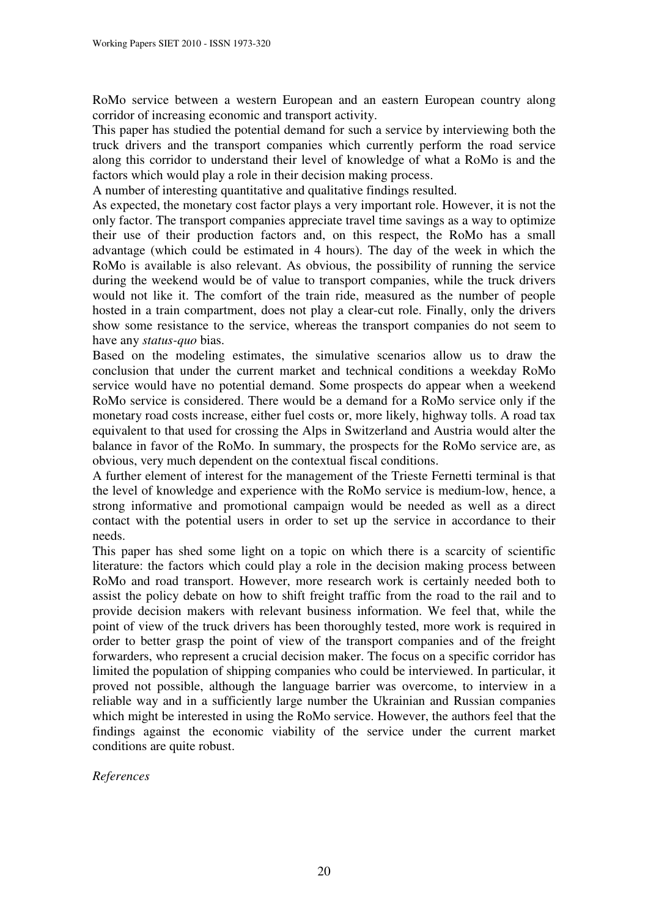RoMo service between a western European and an eastern European country along corridor of increasing economic and transport activity.

This paper has studied the potential demand for such a service by interviewing both the truck drivers and the transport companies which currently perform the road service along this corridor to understand their level of knowledge of what a RoMo is and the factors which would play a role in their decision making process.

A number of interesting quantitative and qualitative findings resulted.

As expected, the monetary cost factor plays a very important role. However, it is not the only factor. The transport companies appreciate travel time savings as a way to optimize their use of their production factors and, on this respect, the RoMo has a small advantage (which could be estimated in 4 hours). The day of the week in which the RoMo is available is also relevant. As obvious, the possibility of running the service during the weekend would be of value to transport companies, while the truck drivers would not like it. The comfort of the train ride, measured as the number of people hosted in a train compartment, does not play a clear-cut role. Finally, only the drivers show some resistance to the service, whereas the transport companies do not seem to have any *status-quo* bias.

Based on the modeling estimates, the simulative scenarios allow us to draw the conclusion that under the current market and technical conditions a weekday RoMo service would have no potential demand. Some prospects do appear when a weekend RoMo service is considered. There would be a demand for a RoMo service only if the monetary road costs increase, either fuel costs or, more likely, highway tolls. A road tax equivalent to that used for crossing the Alps in Switzerland and Austria would alter the balance in favor of the RoMo. In summary, the prospects for the RoMo service are, as obvious, very much dependent on the contextual fiscal conditions.

A further element of interest for the management of the Trieste Fernetti terminal is that the level of knowledge and experience with the RoMo service is medium-low, hence, a strong informative and promotional campaign would be needed as well as a direct contact with the potential users in order to set up the service in accordance to their needs.

This paper has shed some light on a topic on which there is a scarcity of scientific literature: the factors which could play a role in the decision making process between RoMo and road transport. However, more research work is certainly needed both to assist the policy debate on how to shift freight traffic from the road to the rail and to provide decision makers with relevant business information. We feel that, while the point of view of the truck drivers has been thoroughly tested, more work is required in order to better grasp the point of view of the transport companies and of the freight forwarders, who represent a crucial decision maker. The focus on a specific corridor has limited the population of shipping companies who could be interviewed. In particular, it proved not possible, although the language barrier was overcome, to interview in a reliable way and in a sufficiently large number the Ukrainian and Russian companies which might be interested in using the RoMo service. However, the authors feel that the findings against the economic viability of the service under the current market conditions are quite robust.

## *References*